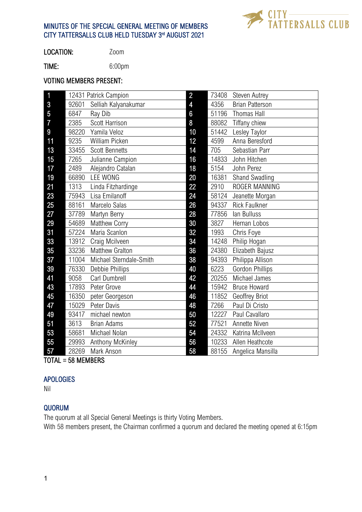# MINUTES OF THE SPECIAL GENERAL MEETING OF MEMBERS CITY TATTERSALLS CLUB HELD TUESDAY 3rd AUGUST 2021



LOCATION: Zoom

TIME: 6:00pm

#### VOTING MEMBERS PRESENT:

| $\overline{\mathbf{1}}$ | 12431 Patrick Campion |                         | $\overline{2}$ | 73408 | <b>Steven Autrey</b>   |
|-------------------------|-----------------------|-------------------------|----------------|-------|------------------------|
| 3                       | 92601                 | Selliah Kalyanakumar    | $\overline{4}$ | 4356  | <b>Brian Patterson</b> |
| 5                       | 6847                  | Ray Dib                 | $6\phantom{a}$ | 51196 | Thomas Hall            |
| $\overline{7}$          | 2385                  | Scott Harrison          | 8              | 88082 | Tiffany chiew          |
| $9\phantom{.0}$         | 98220                 | Yamila Veloz            | 10             | 51442 | Lesley Taylor          |
| 11                      | 9235                  | William Picken          | 12             | 4599  | Anna Beresford         |
| 13                      | 33455                 | <b>Scott Bennetts</b>   | 14             | 705   | Sebastian Parr         |
| 15                      | 7265                  | Julianne Campion        | 16             | 14833 | John Hitchen           |
| 17                      | 2489                  | Alejandro Catalan       | 18             | 5154  | John Perez             |
| 19                      | 66890                 | <b>LEE WONG</b>         | 20             | 16381 | Shand Swadling         |
| 21                      | 1313                  | Linda Fitzhardinge      | 22             | 2910  | ROGER MANNING          |
| 23                      | 75943                 | Lisa Emilanoff          | 24             | 58124 | Jeanette Morgan        |
| 25                      | 88161                 | Marcelo Salas           | 26             | 94337 | <b>Rick Faulkner</b>   |
| 27                      | 37789                 | Martyn Berry            | 28             | 77856 | lan Bulluss            |
| 29                      | 54689                 | Matthew Corry           | 30             | 3827  | Hernan Lobos           |
| 31                      | 57224                 | Maria Scanlon           | 32             | 1993  | Chris Foye             |
| 33                      | 13912                 | Craig Mcilveen          | 34             | 14248 | Philip Hogan           |
| 35                      | 33236                 | <b>Matthew Gralton</b>  | 36             | 24380 | Elizabeth Bajusz       |
| 37                      | 11004                 | Michael Sterndale-Smith | 38             | 94393 | Philippa Allison       |
| 39                      | 76330                 | Debbie Phillips         | 40             | 6223  | <b>Gordon Phillips</b> |
| 41                      | 9058                  | Carl Dumbrell           | 42             | 20255 | Michael James          |
| 43                      | 17893                 | Peter Grove             | 44             | 15942 | <b>Bruce Howard</b>    |
| 45                      | 16350                 | peter Georgeson         | 46             | 11852 | Geoffrey Briot         |
| 47                      | 15029                 | Peter Davis             | 48             | 7266  | Paul Di Cristo         |
| 49                      | 93417                 | michael newton          | 50             | 12227 | Paul Cavallaro         |
| 51                      | 3613                  | <b>Brian Adams</b>      | 52             | 77521 | Annette Niven          |
| 53                      | 58681                 | Michael Nolan           | 54             | 24332 | Katrina McIlveen       |
| 55                      | 29993                 | Anthony McKinley        | 56             | 10233 | Allen Heathcote        |
| 57                      | 28269                 | Mark Anson              | 58             | 88155 | Angelica Mansilla      |

TOTAL = 58 MEMBERS

# APOLOGIES

Nil

# QUORUM

The quorum at all Special General Meetings is thirty Voting Members.

With 58 members present, the Chairman confirmed a quorum and declared the meeting opened at 6:15pm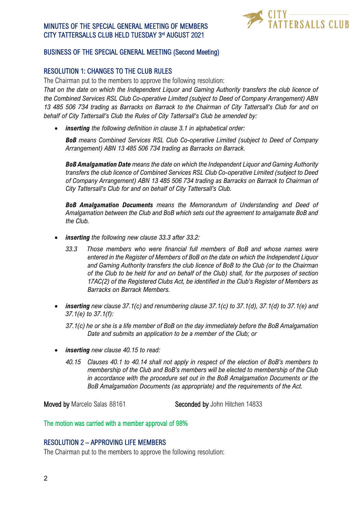# MINUTES OF THE SPECIAL GENERAL MEETING OF MEMBERS CITY TATTERSALLS CLUB HELD TUESDAY 3rd AUGUST 2021



# BUSINESS OF THE SPECIAL GENERAL MEETING (Second Meeting)

### RESOLUTION 1: CHANGES TO THE CLUB RULES

The Chairman put to the members to approve the following resolution:

*That on the date on which the Independent Liquor and Gaming Authority transfers the club licence of the Combined Services RSL Club Co-operative Limited (subject to Deed of Company Arrangement) ABN 13 485 506 734 trading as Barracks on Barrack to the Chairman of City Tattersall's Club for and on behalf of City Tattersall's Club the Rules of City Tattersall's Club be amended by:*

• *inserting the following definition in clause 3.1 in alphabetical order:*

*BoB means Combined Services RSL Club Co-operative Limited (subject to Deed of Company Arrangement) ABN 13 485 506 734 trading as Barracks on Barrack.*

*BoB Amalgamation Date means the date on which the Independent Liquor and Gaming Authority transfers the club licence of Combined Services RSL Club Co-operative Limited (subject to Deed of Company Arrangement) ABN 13 485 506 734 trading as Barracks on Barrack to Chairman of City Tattersall's Club for and on behalf of City Tattersall's Club.*

*BoB Amalgamation Documents means the Memorandum of Understanding and Deed of Amalgamation between the Club and BoB which sets out the agreement to amalgamate BoB and the Club.*

- *inserting the following new clause 33.3 after 33.2:*
	- *33.3 Those members who were financial full members of BoB and whose names were entered in the Register of Members of BoB on the date on which the Independent Liquor and Gaming Authority transfers the club licence of BoB to the Club (or to the Chairman of the Club to be held for and on behalf of the Club) shall, for the purposes of section 17AC(2) of the Registered Clubs Act, be identified in the Club's Register of Members as Barracks on Barrack Members.*
- *inserting new clause 37.1(c) and renumbering clause 37.1(c) to 37.1(d), 37.1(d) to 37.1(e) and 37.1(e) to 37.1(f):*

*37.1(c) he or she is a life member of BoB on the day immediately before the BoB Amalgamation Date and submits an application to be a member of the Club; or*

- *inserting new clause 40.15 to read:*
	- *40.15 Clauses 40.1 to 40.14 shall not apply in respect of the election of BoB's members to membership of the Club and BoB's members will be elected to membership of the Club in accordance with the procedure set out in the BoB Amalgamation Documents or the BoB Amalgamation Documents (as appropriate) and the requirements of the Act.*

**Moved by Marcelo Salas 88161** Seconded by John Hitchen 14833

The motion was carried with a member approval of 98%

### RESOLUTION 2 – APPROVING LIFE MEMBERS

The Chairman put to the members to approve the following resolution: